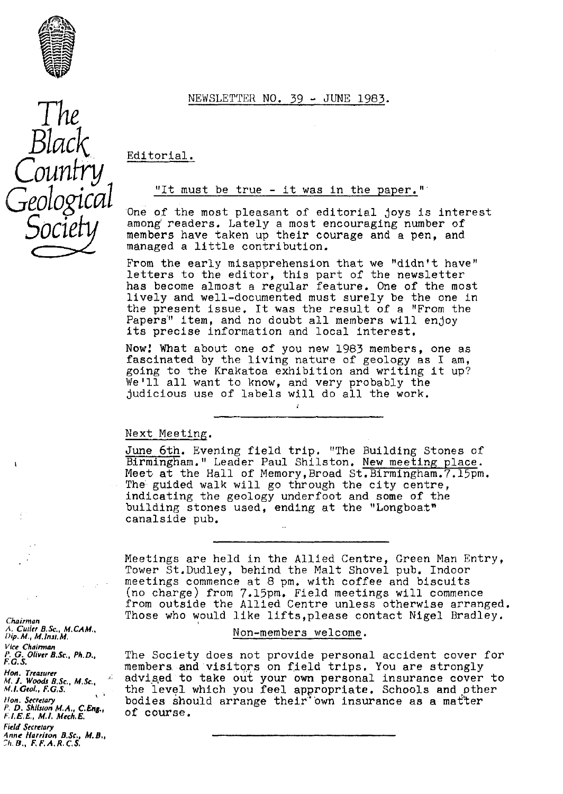

NEWSLETTER NO. 39 - JUNE 1983 .



Editorial.

## "It must be true - it was in the paper."

One of the most pleasant of editorial joys is interest among readers. Lately a most encouraging number of members have taken up their courage and a pen, and managed a little contribution.

From the early misapprehension that we "didn't have" letters to the editor, this part of the newsletter has become almost a regular feature. One of the most lively and well-documented must surely be the one in the present issue. It was the result of a "From the Papers'" item, and no doubt all members will enjoy its precise information and local interest.

Now! What about one of you new 1983 members, one as fascinated by the living nature of geology as I am, going to the Krakatoa exhibition and writing it up? We'll all want to know, and very probably the judicious use of labels will do all the work.

### Next Meeting .

June 6th. Evening field trip. "The Building Stones of Birmingham." Leader Paul Shilston. New meeting place. Meet at the Hall of Memory,Broad St.Birmingham.7.15pm. The guided walk will go through the city centre, indicating the geology underfoot and some of the building stones used, ending at the "Longboat" canalside pub.

Meetings are held in the Allied Centre, Green Man Entry, Tower St.Dudley, behind the Malt Shovel pub. Indoor meetings commence at 8 pm, with coffee and biscuits (no charge) from 7.15pm. Field meetings will commence from outside the Allied Centre unless otherwise arranged. Those who would like lifts,please contact Nigel Bradley.

### Non-members welcome .

The Society does not provide personal accident cover for members. and visitors on field trips. You are strongly advised to take out your own personal insurance cover to the level which you feel appropriate. Schools and other bodies should arrange their"'own insurance as a matter of course.

Chairman *A. Cutler B.Se., M.CAM., Dip. M. M. <sup>m</sup> u.* **M.** Vice Chairman A. G. Olt er *B.Sc., Ph.D., F. G. S.* Hon. Tre*as*urer

*Al.* 1. Woods B.Sc., M.Sc., *<sup>41</sup>* ,1. *Geol.,* F. c, S.  $\sim$   $^{-1}$ 

Non. Secretary *P. D.* Shiliton M.A., *C.* Eng., F'.1. *5 M.1. Mech. E, Field Secreta***ry**

Anne *Harrison B.Sc., M.B.,* 2h. B., *F.* F.A.R. C.S.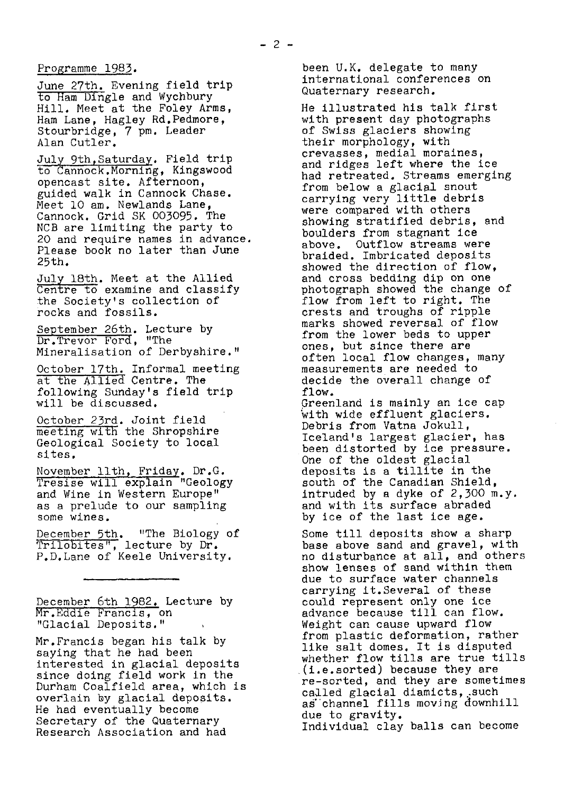# Programme 1983.

June 27th. Evening field trip to Ham Dingle and Wychbury Hill. Meet at the Foley Arms, Ham Lane, Hagley Rd.Pedmore, Stourbridge, 7 pm. Leader Alan Cutler,

July 9th, Saturday. Field trip to Cannock. Morning, Kingswood opencast site. Afternoon, guided walk in Cannock Chase. Meet 10 am. Newlands Lane, Cannock, Grid SK 003095. The NCB are limiting the party to 20 and require names in advance. Please book no later than June 25th.

July 18th. Meet at the Allied Centre to examine and classify the Society's collection of rocks and fossils.

September 26th. Lecture by Dr.Trevor Ford, "The Mineralisation of Derbyshire."

October 17th. Informal meeting at the Allied Centre. The following Sunday's field trip will be discussed.

Octo ber 23rd. Joint field rollowing Sunday's lield the<br>will be discussed.<br>October 23rd. Joint field<br>meeting with the Shropshire<br>Geological Society to local Geological Society to local sites.

November llth, Friday. Dr.G.<br>Tresise will explain "Geology and Wine in Western Europe" as a prelude to our sampling some wines.

December 5th. "The Biology of Trilobites", lecture by Dr. P.D.Lane of Keele University.

December 6th 1982. Lecture by r.Eddie Francis, on "Glacial Deposits."

Mr.Francis began his talk by saying that he had been interested in glacial deposits since doing field work in the Durham Coalfield area, which is overlain by glacial deposits. He had eventually become Secretary of the Quaternary Research Association and had

been U.K. delegate to many international conferences on Quaternary research.

He illustrated his talk first with present day photographs of Swiss glaciers showing their morphology, with crevasses, medial moraines, and ridges left where the ice had retreated. Streams emerging from below a glacial snout carrying very little debris were compared with others showing stratified debris, and boulders from stagnant ice above. Outflow streams were braided. Imbricated deposits showed the direction of flow, and cross bedding dip on one photograph showed the change of flow from left to right. The crests and troughs of ripple marks showed reversal of flow from the lower beds to upper ones, but since there are often local flow changes, many measurements are needed to decide the overall change of flow.

Greenland is mainly an ice cap with wide effluent glaciers. Debris from Vatna Jokull, Iceland's largest glacier, has been distorted by ice pressure. One of the oldest glacial deposits is a tillite in the south of the Canadian Shield, intruded by a dyke of 2,300 m.y. and with its surface abraded by ice of the last ice age.

Some till deposits show a sharp base above sand and gravel, with no disturbance at all, and others show lenses of sand within them due to surface water channels carrying it.Several of these could represent only one ice advance because till can flow. Weight can cause upward flow from plastic deformation, rather like salt domes, It is disputed whether flow tills are true tills (i.e.sorted) because they are re-sorted, and they are sometimes called glacial diamicts, such as"channel fills moving downhill due to gravity. Individual clay balls can become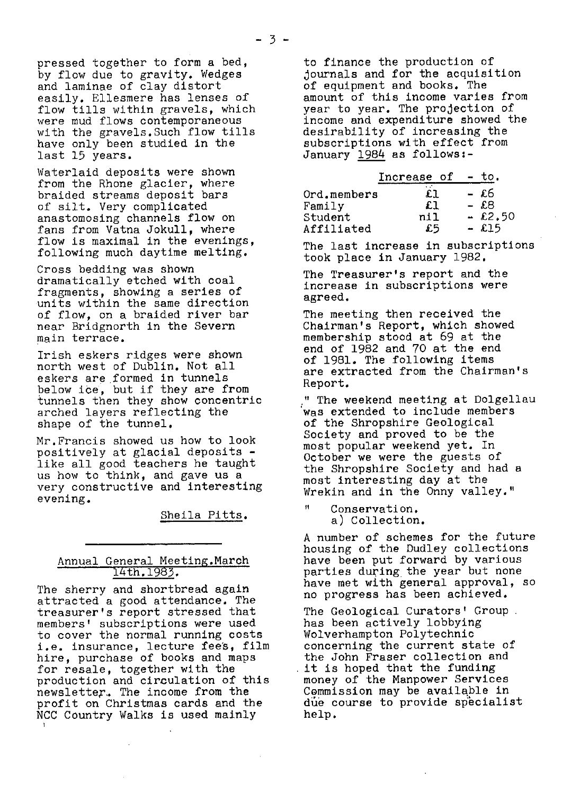Waterlaid deposits were shown from the Rhone glacier, where braided streams deposit bars of silt. Very complicated anastomosing channels flow on fans from Vatna Jokull, where flow is maximal in the evenings, following much daytime melting.

Cross bedding was shown dramatically etched with coal fragments, showing a series of units within the same direction of flow, on a braided river bar near Bridgnorth in the Severn main terrace.

Irish eskers ridges were shown north west of Dublin. Not all eskers are formed in tunnels below ice, but if they are from tunnels then they show concentric arched layers reflecting the shape of the tunnel.

Mr.Francis showed us how to look positively at glacial deposits like all good teachers he taught us how to think, and gave us a very constructive and interesting evening.

Sheila Pitts .

# Annual General Meeting. March 14th. 1983.

The sherry and shortbread again attracted a good attendance. The treasurer's report stressed that members' subscriptions were used to cover the normal running costs i.e. insurance, lecture fee's, film hire, purchase of books and maps for resale, together with the production and circulation of this newsletter,. The income from the profit on Christmas cards and the NCC Country Walks is used mainly

to finance the production of journals and for the acquisition of equipment and books. The amount of this income varies from year to year. The projection of income and expenditure showed the desirability of increasing the subscriptions with effect from January 1984 as follows:-

|             | Increase of | to.       |
|-------------|-------------|-----------|
| Ord.members | £ŀ          | - £6      |
| Family      | £l          | - £8      |
| Student     | n11         | $-.62.50$ |
| Affiliated  | £5          | $-$ £15   |

The last increase in subscriptions took place in January 1982.

The Treasurer's report and the increase in subscriptions were agreed.

The meeting then received the Chairman's Report, which showed membership stood at 69 at the end of 1982 and 70 at the end of 1981. The following items are extracted from the Chairman's Report.

" The weekend meeting at Dolgellau was extended to include members of the Shropshire Geological Society and proved to be the most popular weekend yet. In October we were the guests of the Shropshire Society and had a most interesting day at the Wrekin and in the Onny valley."

" Conservation. a) Collection.

A number of schemes for the future housing of the Dudley collections have been put forward by various parties during the year but none have met with general approval, so no progress has been achieved.

The Geological Curators' Group. has been actively lobbying Wolverhampton Polytechnic concerning the current state of the John Fraser collection and it is hoped that the funding money of the Manpower Services Commission may be available in due course to provide specialist help.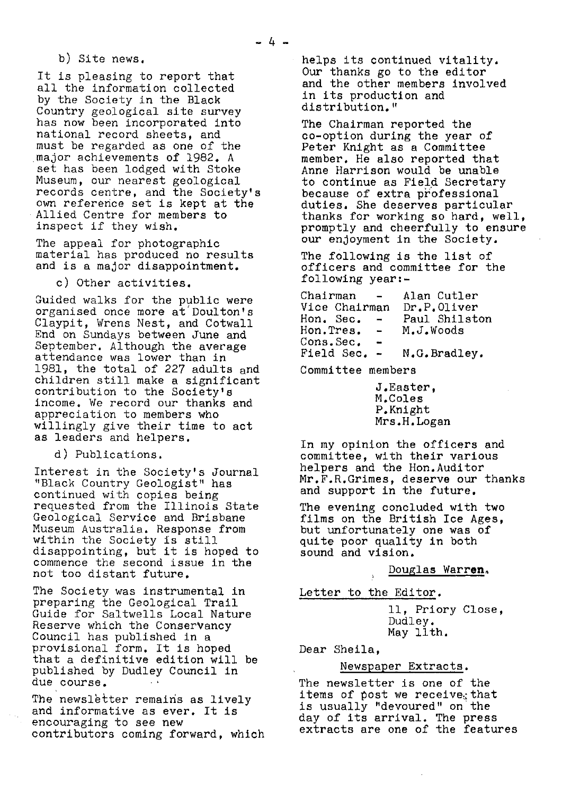b) Site news.

It is pleasing to report that all the information collected by the Society in the Black Country geological site survey has now been incorporated into national record sheets, and must be regarded as one of the major achievements of 1982. A set has been lodged with Stoke Museum, our nearest geological records centre, and the Society's own reference set is kept at the Allied Centre for members to inspect if they wish.

The appeal for photographic material has produced no results and is a major disappointment.

c) Other activities.

Guided walks for the public were organised once more at Doulton's Claypit, Wrens Nest, and Cotwall End on Sundays between June and September. Although the average attendance *was lower* than in 1981, the total of 227 adults and children still make a significant contribution to the Society's income. We record our thanks and appreciation to members who willingly give their time to act as leaders and helpers.

d) Publications.

Interest in the Society's Journal "Black Country Geologist" *has* continued with copies being requested from the Illinois State Geological Service and Brisbane Museum Australia. Response from within the Society is still disappointing, but it is hoped to commence the second issue in the not too distant future.

*The Society was* instrumental in preparing the Geological Trail Guide for Saitwells Local Nature Reserve which the Conservancy Council has published in a provisional form. It is hoped that a definitive edition will be published by Dudley Council in due course.

The newsletter remains as lively and informative as ever. It is encouraging to see new contributors coming forward, which helps its continued vitality. Our thanks go to the editor and the other members involved in its production and distribution."

The Chairman reported the co-option during the year of Peter Knight as a Committee member. He also reported that Anne Harrison would be unable to continue as Field Secretary because of extra professional duties. She deserves particular thanks for working so hard, well, promptly and cheerfully to ensure our enjoyment in the Society.

*The following* is the list of officers and committee for the following year:-

Chairman - Alan Cutler<br>Vice Chairman Dr.P.Oliver Dr.P.Oliver<br>Paul Shilston Hon. Sec. -<br>Hon.Tres. -M.J.Woods Cons.Sec. -<br>Field Sec. -N.G. Bradley.

Committee members

J.Easter, M.Coles P.Knight Mrs.H.Logan

In my opinion the officers and committee, with their various helpers and the Hon.Auditor Mr.F.R.Grimes, deserve our thanks and support in the future.

The evening concluded with two films on the British Ice Ages, but unfortunately one was of quite poor quality in both sound and vision.

Douglas Warren.

Letter to the Editor .

11, Priory Close, Dudley. May 13th.

Dear Sheila,

# Newspaper Extracts .

The newsletter is one of the items of post we receive<sub> $i$ </sub> that is usually "devoured" on the day of its arrival. The press extracts are one of the features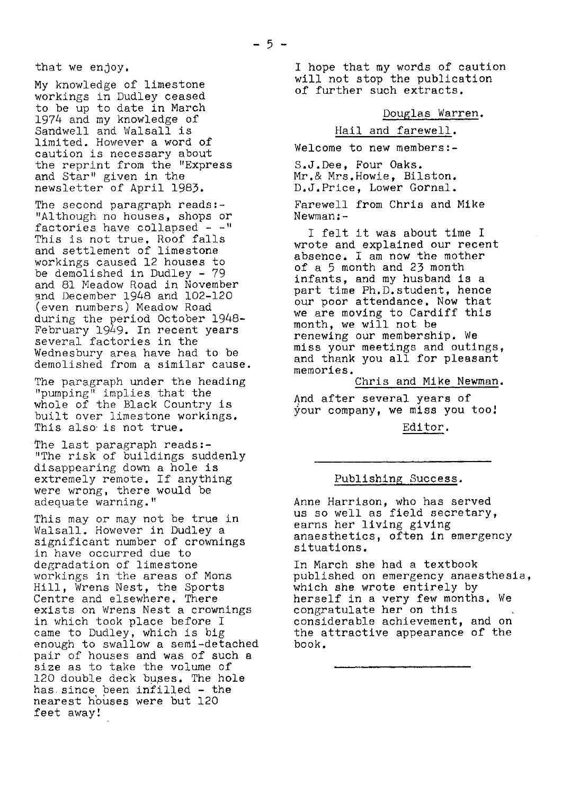that we enjoy.

My knowledge of limestone workings in Dudley ceased to be up to date in March 1974 and my knowledge of Sandwell and Walsall is limited. However a word of caution is necessary about the reprint from the "Express and Star" given in the newsletter of April 1983.

The second paragraph reads:-"Although no houses, shops or factories have collapsed  $-$ " This is not true. Roof falls and settlement of limestone workings caused 12 houses to be demolished in Dudley - 79 and 81 Meadow Road in November and December 1948 and 102-120 (even numbers) Meadow Road during the period October 1948- February 1949. In recent years several factories in the Wednesbury area have had to be demolished from a similar cause.

The paragraph under the heading "pumping" implies that the whole of the Black Country is built over limestone workings. This also-is not true.

The last paragraph reads:- "The risk of buildings suddenly disappearing down a hole is extremely remote. If anything were wrong, there would be adequate warning."

This may or may not be true in Walsall. However in Dudley a significant number of crownings in have occurred due to degradation of limestone workings in the areas of Mons Hill, Wrens Nest, the Sports Centre and elsewhere. There exists on Wrens Nest a crownings in which took place before I came to Dudley, which is big enough to swallow a semi-detached pair of houses and was of such a size as to take the volume of 120 double deck buses. The hole has since been infilled - the nearest houses were but <sup>120</sup> feet away!

I hope that my words of caution will not stop the publication of further such extracts.

Douglas Warren.

### Hail and farewell .

Welcome to new members:-

S.J.Dee, Four Oaks. Mr.& Mrs.Howie, Bilston. D.J.Price, Lower Gornal.

Farewell from Chris and Mike Newman:-

I felt it was about time I wrote and explained our recent absence. I am now the mother of a 5 month and 23 month infants, and my husband is a part time Ph.D.student, hence our poor attendance. Now that we are moving to Cardiff this month, we will not be renewing our membership. We miss your meetings and outings, and thank you all for pleasant memories.

*Chris and* Mike Newman .

And after several years of your company, we **miss** you too;

Editor .

## Publishing Success .

Anne Harrison, who has served us so well as field secretary, earns her living giving anaesthetics, often in emergency situations.

In March she had a textbook published on emergency anaesthesia, which she wrote entirely by herself in a very few months. We congratulate her on this considerable achievement, and on the attractive appearance of the book.